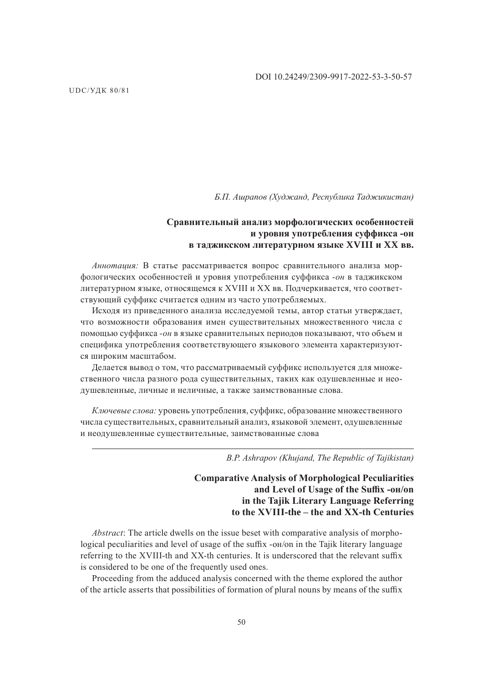*Б.П. Ашрапов (Худжанд, Республика Таджикистан)*

## **Сравнительный анализ морфологических особенностей и уровня употребления суффикса -он в таджикском литературном языке XVIII и XX вв.**

*Аннотация:* В статье рассматривается вопрос сравнительного анализа морфологических особенностей и уровня употребления суффикса *-он* в таджикском литературном языке, относящемся к XVIII и XX вв. Подчеркивается, что соответствующий суффикс считается одним из часто употребляемых.

Исходя из приведенного анализа исследуемой темы, автор статьи утверждает, что возможности образования имен существительных множественного числа с помощью суффикса *-он* в языке сравнительных периодов показывают, что объем и специфика употребления соответствующего языкового элемента характеризуются широким масштабом.

Делается вывод о том, что рассматриваемый суффикс используется для множественного числа разного рода существительных, таких как одушевленные и неодушевленные, личные и неличные, а также заимствованные слова.

*Ключевые слова:* уровень употребления, суффикс, образование множественного числа существительных, сравнительный анализ, языковой элемент, одушевленные и неодушевленные существительные, заимствованные слова

*B.P. Ashrapov (Khujand, The Republic of Tajikistan)*

# **Comparative Analysis of Morphological Peculiarities and Level of Usage of the Suffix -oн/on in the Tajik Literary Language Referring to the XVIII-the – the and XX-th Centuries**

*Abstract*: The article dwells on the issue beset with comparative analysis of morphological peculiarities and level of usage of the suffix -он/on in the Tajik literary language referring to the XVIII-th and XX-th centuries. It is underscored that the relevant suffix is considered to be one of the frequently used ones.

Proceeding from the adduced analysis concerned with the theme explored the author of the article asserts that possibilities of formation of plural nouns by means of the suffix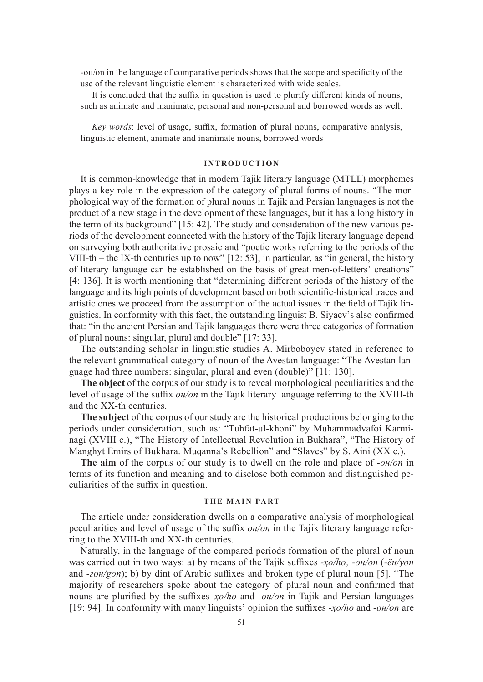-он/on in the language of comparative periods shows that the scope and specificity of the use of the relevant linguistic element is characterized with wide scales.

It is concluded that the suffix in question is used to plurify different kinds of nouns, such as animate and inanimate, personal and non-personal and borrowed words as well.

*Key words*: level of usage, suffix, formation of plural nouns, comparative analysis, linguistic element, animate and inanimate nouns, borrowed words

### **INTRODUCTION**

It is common-knowledge that in modern Tajik literary language (MTLL) morphemes plays a key role in the expression of the category of plural forms of nouns. "The morphological way of the formation of plural nouns in Tajik and Persian languages is not the product of a new stage in the development of these languages, but it has a long history in the term of its background" [15: 42]. The study and consideration of the new various periods of the development connected with the history of the Tajik literary language depend on surveying both authoritative prosaic and "poetic works referring to the periods of the VIII-th – the IX-th centuries up to now" [12: 53], in particular, as "in general, the history of literary language can be established on the basis of great men-of-letters' creations" [4: 136]. It is worth mentioning that "determining different periods of the history of the language and its high points of development based on both scientific-historical traces and artistic ones we proceed from the assumption of the actual issues in the field of Tajik linguistics. In conformity with this fact, the outstanding linguist B. Siyaev's also confirmed that: "in the ancient Persian and Tajik languages there were three categories of formation of plural nouns: singular, plural and double" [17: 33].

The outstanding scholar in linguistic studies A. Mirboboyev stated in reference to the relevant grammatical category of noun of the Avestan language: "The Avestan language had three numbers: singular, plural and even (double)" [11: 130].

**The object** of the corpus of our study is to reveal morphological peculiarities and the level of usage of the suffix *он/on* in the Tajik literary language referring to the XVIII-th and the XX-th centuries.

**The subject** of the corpus of our study are the historical productions belonging to the periods under consideration, such as: "Tuhfat-ul-khoni" by Muhammadvafoi Karminagi (XVIII c.), "The History of Intellectual Revolution in Bukhara", "The History of Manghyt Emirs of Bukhara. Muqanna's Rebellion" and "Slaves" by S. Aini (XX c.).

**The aim** of the corpus of our study is to dwell on the role and place of *-он/on* in terms of its function and meaning and to disclose both common and distinguished peculiarities of the suffix in question.

### **THE MAIN PART**

The article under consideration dwells on a comparative analysis of morphological peculiarities and level of usage of the suffix *он/on* in the Tajik literary language referring to the XVIII-th and XX-th centuries.

Naturally, in the language of the compared periods formation of the plural of noun was carried out in two ways: a) by means of the Tajik suffixes *-ҳо/ho' -он/on* (*-ён/yon* and *-гон/gon*); b) by dint of Arabic suffixes and broken type of plural noun [5]. "The majority of researchers spoke about the category of plural noun and confirmed that nouns are plurified by the suffixes*–ҳо/ho* and -*он/on* in Tajik and Persian languages [19: 94]. In conformity with many linguists' opinion the suffixes *-ҳо/ho* and *-он/on* are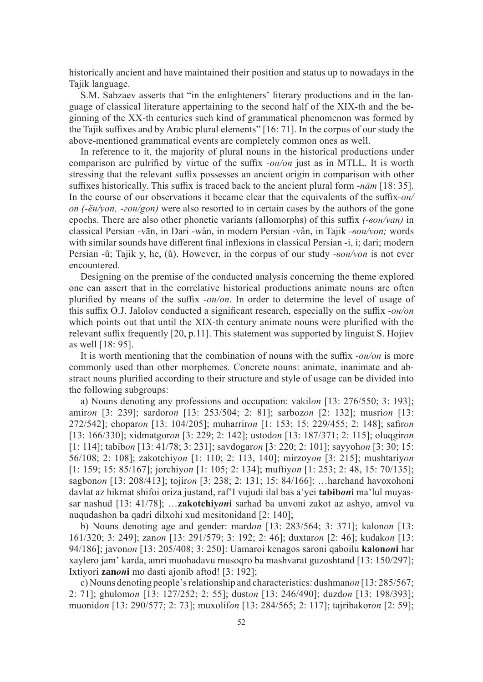historically ancient and have maintained their position and status up to nowadays in the Tajik language.

S.M. Sabzaev asserts that "in the enlighteners' literary productions and in the language of classical literature appertaining to the second half of the XIX-th and the beginning of the XX-th centuries such kind of grammatical phenomenon was formed by the Tajik suffixes and by Arabic plural elements" [16: 71]. In the corpus of our study the above-mentioned grammatical events are completely common ones as well.

In reference to it, the majority of plural nouns in the historical productions under comparison are pulrified by virtue of the suffix *-он/on* just as in MTLL. It is worth stressing that the relevant suffix possesses an ancient origin in comparison with other suffixes historically. This suffix is traced back to the ancient plural form *-nām* [18: 35]. In the course of our observations it became clear that the equivalents of the suffix*-он/ on (-ён/yon' -гон/gon)* were also resorted to in certain cases by the authors of the gone epochs. There are also other phonetic variants (allomorphs) of this suffix *(-вон/van)* in classical Persian -vān, in Dari -wån, in modern Persian -vån, in Tajik *-вон/von;* words with similar sounds have different final inflexions in classical Persian -i, i; dari; modern Persian -û; Tajik y, he, (ů). However, in the corpus of our study *-вон/von* is not ever encountered.

Designing on the premise of the conducted analysis concerning the theme explored one can assert that in the correlative historical productions animate nouns are often plurified by means of the suffix *-он/on*. In order to determine the level of usage of this suffix O.J. Jalolov conducted a significant research, especially on the suffix *-он/on* which points out that until the XIX-th century animate nouns were plurified with the relevant suffix frequently [20, p.11]. This statement was supported by linguist S. Hojiev as well [18: 95].

It is worth mentioning that the combination of nouns with the suffix *-он/on* is more commonly used than other morphemes. Concrete nouns: animate, inanimate and abstract nouns plurified according to their structure and style of usage can be divided into the following subgroups:

а) Nouns denoting any professions and occupation: vakil*on* [13: 276/550; 3: 193]; amir*on* [3: 239]; sardor*on* [13: 253/504; 2: 81]; sarboz*on* [2: 132]; musri*on* [13: 272/542]; chopar*on* [13: 104/205]; muharrir*on* [1: 153; 15: 229/455; 2: 148]; safir*on* [13: 166/330]; xidmatgor*on* [3: 229; 2: 142]; ustod*on* [13: 187/371; 2: 115]; oluqgir*on* [1: 114]; tabib*on* [13: 41/78; 3: 231]; savdogar*on* [3: 220; 2: 101]; sayyoh*on* [3: 30; 15: 56/108; 2: 108]; zakotchiy*on* [1: 110; 2: 113, 140]; mirzoy*on* [3: 215]; mushtariy*on* [1: 159; 15: 85/167]; jorchiy*on* [1: 105; 2: 134]; muftiy*on* [1: 253; 2: 48, 15: 70/135]; sagbon*on* [13: 208/413]; tojir*on* [3: 238; 2: 131; 15: 84/166]: …harchand havoxohoni davlat az hikmat shifoi oriza justand, raf'I vujudi ilal bas a'yei **tabib***on***i** ma'lul muyassar nashud [13: 41/78]; …**zakotchiy***on***i** sarhad ba unvoni zakot az ashyo, amvol va nuqudashon ba qadri dilxohi xud mesitonidand [2: 140];

b) Nouns denoting age and gender: mard*on* [13: 283/564; 3: 371]; kalon*on* [13: 161/320; 3: 249]; zan*on* [13: 291/579; 3: 192; 2: 46]; duxtar*on* [2: 46]; kudak*on* [13: 94/186]; javon*on* [13: 205/408; 3: 250]: Uamaroi kenagos saroni qaboilu **kalon***on***i** har xaylero jam' karda, amri muohadavu musoqro ba mashvarat guzoshtand [13: 150/297]; Ixtiyori **zan***on***i** mo dasti ajonib aftod! [3: 192];

c) Nouns denoting people's relationship and characteristics: dushman*on* [13: 285/567; 2: 71]; ghulom*on* [13: 127/252; 2: 55]; dust*on* [13: 246/490]; duzd*on* [13: 198/393]; muonid*on* [13: 290/577; 2: 73]; muxolif*on* [13: 284/565; 2: 117]; tajribakor*on* [2: 59];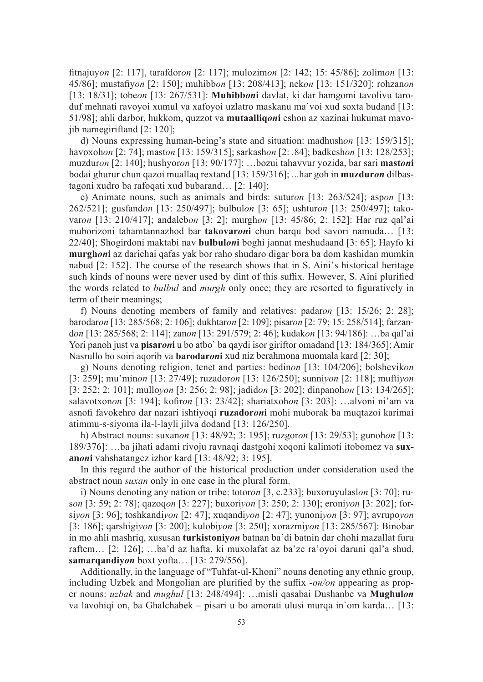fitnajuy*on* [2: 117], tarafdor*on* [2: 117]; mulozim*on* [2: 142; 15: 45/86]; zolim*on* [13: 45/86]; mustafiy*on* [2: 150]; muhibb*on* [13: 208/413]; nek*on* [13: 151/320]; rohzan*on* [13: 18/31]; tobe*on* [13: 267/531]: **Muhibb***on***i** davlat, ki dar hamgomi tavolivu taroduf mehnati ravoyoi xumul va xafoyoi uzlatro maskanu ma`voi xud soxta budand [13: 51/98]; ahli darbor, hukkom, quzzot va **mutaalliq***on***i** eshon az xazinai hukumat mavojib namegiriftand [2: 120];

d) Nouns expressing human-being's state and situation: madhush*on* [13: 159/315]; havoxoh*on* [2: 74]; mast*on* [13: 159/315]; sarkash*on* [2: .84]; badkesh*on* [13: 128/253]; muzdur*on* [2: 140]; hushyor*on* [13: 90/177]: …bozui tahavvur yozida, bar sari **mast***on***i** bodai ghurur chun qazoi muallaq rextand [13: 159/316]; ...har goh in **muzdur***on* dilbastagoni xudro ba rafoqati xud bubarand… [2: 140];

e) Animate nouns, such as animals and birds: sutur*on* [13: 263/524]; asp*on* [13: 262/521]; gusfand*on* [13: 250/497]; bulbul*on* [3: 65]; ushtur*on* [13: 250/497]; takovar*on* [13: 210/417]; andaleb*on* [3: 2]; murgh*on* [13: 45/86; 2: 152]: Har ruz qal'ai muborizoni tahamtannazhod bar **takovar***on***i** chun barqu bod savori namuda… [13: 22/40]; Shogirdoni maktabi nav **bulbul***on***i** boghi jannat meshudaand [3: 65]; Hayfo ki **murgh***on***i** az darichai qafas yak bor raho shudaro digar bora ba dom kashidan mumkin nabud [2: 152]. The course of the research shows that in S. Aini's historical heritage such kinds of nouns were never used by dint of this suffix. However, S. Aini plurified the words related to *bulbul* and *murgh* only once; they are resorted to figuratively in term of their meanings;

f) Nouns denoting members of family and relatives: padar*on* [13: 15/26; 2: 28]; barodar*on* [13: 285/568; 2: 106]; dukhtar*on* [2: 109]; pisar*on* [2: 79; 15: 258/514]; farzand*on* [13: 285/568; 2: 114]; zan*on* [13: 291/579; 2: 46]; kudak*on* [13: 94/186]: …ba qal'ai Yori panoh just va **pisar***on***i** u bo atbo` ba qaydi isor giriftor omadand [13: 184/365]; Amir Nasrullo bo soiri aqorib va **barodar***on***i** xud niz berahmona muomala kard [2: 30];

g) Nouns denoting religion, tenet and parties: bedin*on* [13: 104/206]; bolshevik*on* [3: 259]; mu'min*on* [13: 27/49]; ruzador*on* [13: 126/250]; sunni*yon* [2: 118]; mufti*yon* [3: 252; 2: 101]; mullo*yon* [3: 256; 2: 98]; jadid*on* [3: 202]; dinpanoh*on* [13: 134/265]; salavotxon*on* [3: 194]; kofir*on* [13: 23/42]; shariatxoh*on* [3: 203]: …alvoni ni'am va asnofi favokehro dar nazari ishtiyoqi **ruzador***on***i** mohi muborak ba muqtazoi karimai atimmu-s-siyoma ila-l-layli jilva dodand [13: 126/250].

h) Abstract nouns: suxan*on* [13: 48/92; 3: 195]; ruzgor*on* [13: 29/53]; gunoh*on* [13: 189/376]: …ba jihati adami rivoju ravnaqi dastgohi xoqoni kalimoti itobomez va **suxan***on***i** vahshatangez izhor kard [13: 48/92; 3: 195].

In this regard the author of the historical production under consideration used the abstract noun *suxan* only in one case in the plural form.

i) Nouns denoting any nation or tribe: totor*on* [3, с.233]; buxoruyulasl*on* [3: 70]; rus*on* [3: 59; 2: 78]; qazoq*on* [3: 227]; buxori*yon* [3: 250; 2: 130]; eroni*yon* [3: 202]; forsi*yon* [3: 96]; toshkandi*yon* [2: 47]; xuqandi*yon* [2: 47]; yunoni*yon* [3: 97]; avrupo*yon* [3: 186]; qarshigi*yon* [3: 200]; kulobi*yon* [3: 250]; xorazmi*yon* [13: 285/567]: Binobar in mo ahli mashriq, xususan **turkistoniy***on* batnan ba'di batnin dar chohi mazallat furu raftem… [2: 126]; …ba'd az hafta, ki muxolafat az ba'ze ra'oyoi daruni qal'a shud, **samarqandiy***on* boxt yofta… [13: 279/556].

Additionally, in the language of "Tuhfat-ul-Khoni" nouns denoting any ethnic group, including Uzbek and Mongolian are plurified by the suffix *-он/on* appearing as proper nouns: *uzbak* and *mughul* [13: 248/494]: …misli qasabai Dushanbe va **Mughul***on* va lavohiqi on, ba Ghalchabek – pisari u bo amorati ulusi murqa in`om karda… [13: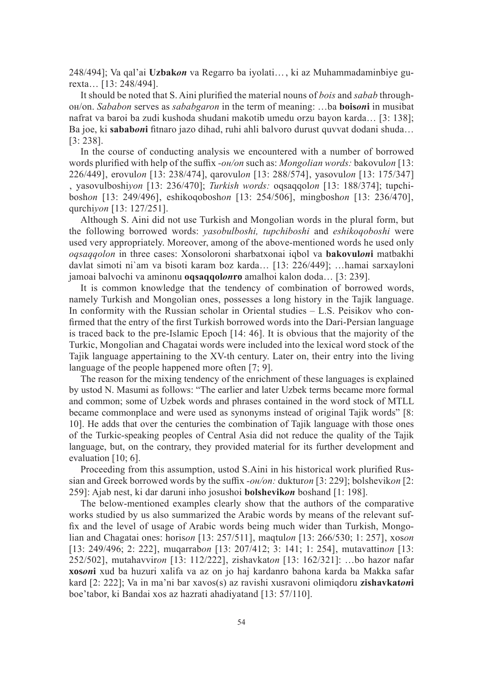248/494]; Va qal'ai **Uzbak***on* va Regarro ba iyolati…, ki az Muhammadaminbiye gurexta… [13: 248/494].

It should be noted that S. Aini plurified the material nouns of *bois* and *sabab* throughон/on. *Sababon* serves as *sababgaron* in the term of meaning: …ba **bois***on***i** in musibat nafrat va baroi ba zudi kushoda shudani makotib umedu orzu bayon karda… [3: 138]; Ba joe, ki **sabab***on***i** fitnaro jazo dihad, ruhi ahli balvoro durust quvvat dodani shuda… [3: 238].

In the course of conducting analysis we encountered with a number of borrowed words plurified with help of the suffix *-он/on* such as: *Mongolian words:* bakovul*on* [13: 226/449]' erovul*on* [13: 238/474], qarovul*on* [13: 288/574]' yasovul*on* [13: 175/347] ' yasovulboshi*yon* [13: 236/470]; *Turkish words:* oqsaqqol*on* [13: 188/374]; tupchibosh*on* [13: 249/496]' eshikoqobosh*on* [13: 254/506]' mingbosh*on* [13: 236/470]' qurchi*yon* [13: 127/251].

Although S. Aini did not use Turkish and Mongolian words in the plural form, but the following borrowed words: *yasobulboshi, tupchiboshi* and *eshikoqoboshi* were used very appropriately. Moreover, among of the above-mentioned words he used only *oqsaqqolon* in three cases: Xonsoloroni sharbatxonai iqbol va **bakovul***on***i** matbakhi davlat simoti ni`am va bisoti karam boz karda… [13: 226/449]; …hamai sarxayloni jamoai balvochi va aminonu **oqsaqqol***on***ro** amalhoi kalon doda… [3: 239].

It is common knowledge that the tendency of combination of borrowed words, namely Turkish and Mongolian ones, possesses a long history in the Tajik language. In conformity with the Russian scholar in Oriental studies – L.S. Peisikov who confirmed that the entry of the first Turkish borrowed words into the Dari-Persian language is traced back to the pre-Islamic Epoch [14: 46]. It is obvious that the majority of the Turkic, Mongolian and Chagatai words were included into the lexical word stock of the Tajik language appertaining to the XV-th century. Later on, their entry into the living language of the people happened more often [7; 9].

The reason for the mixing tendency of the enrichment of these languages is explained by ustod N. Masumi as follows: "The earlier and later Uzbek terms became more formal and common; some of Uzbek words and phrases contained in the word stock of MTLL became commonplace and were used as synonyms instead of original Tajik words" [8: 10]. He adds that over the centuries the combination of Tajik language with those ones of the Turkic-speaking peoples of Central Asia did not reduce the quality of the Tajik language, but, on the contrary, they provided material for its further development and evaluation [10; 6].

Proceeding from this assumption, ustod S.Aini in his historical work plurified Russian and Greek borrowed words by the suffix *-он/on:* duktur*on* [3: 229]; bolshevik*on* [2: 259]: Ajab nest, ki dar daruni inho josushoi **bolshevik***on* boshand [1: 198].

The below-mentioned examples clearly show that the authors of the comparative works studied by us also summarized the Arabic words by means of the relevant suffix and the level of usage of Arabic words being much wider than Turkish, Mongolian and Chagatai ones: horis*on* [13: 257/511], maqtul*on* [13: 266/530; 1: 257], xos*on* [13: 249/496; 2: 222], muqarrabon [13: 207/412; 3: 141; 1: 254], mutavattinon [13: 252/502], mutahavviron [13: 112/222], zishavkaton [13: 162/321]: ...bo hazor nafar **xos***on***i** xud ba huzuri xalifa va az on jo haj kardanro bahona karda ba Makka safar kard [2: 222]; Va in ma'ni bar xavos(s) az ravishi xusravoni olimiqdoru **zishavkat***on***i**  boe'tabor, ki Bandai xos az hazrati ahadiyatand [13: 57/110].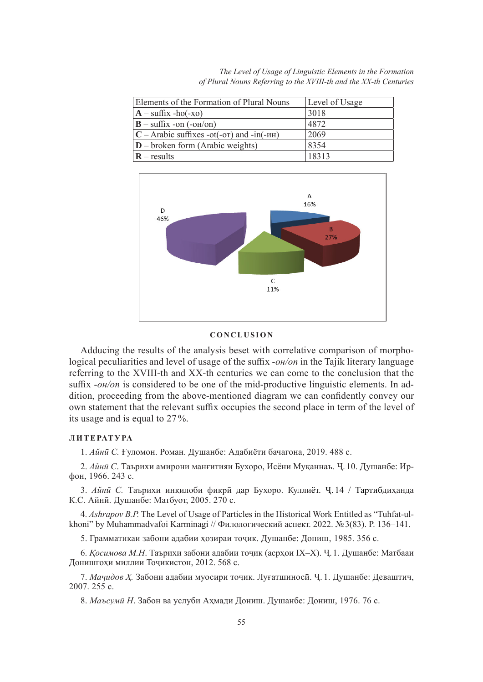*The Level of Usage of Linguistic Elements in the Formation of Plural Nouns Referring to the XVIII-th and the XX-th Centuries*

| Elements of the Formation of Plural Nouns                                          | Level of Usage |
|------------------------------------------------------------------------------------|----------------|
| $\mathbf{A}$ – suffix -ho(-xo)                                                     | 3018           |
| $\mathbf{B}$ – suffix -on (-o <sub>H</sub> /on)                                    | 4872           |
| $ C - \text{Arabic suffixes } -\text{ot}(-\text{or})$ and $-\text{in}(-\text{MH})$ | 2069           |
| $ D -$ broken form (Arabic weights)                                                | 8354           |
| $\mathbf{R}$ – results                                                             | 18313          |



### **C O N C L U S I O N**

Adducing the results of the analysis beset with correlative comparison of morphological peculiarities and level of usage of the suffix *-он/on* in the Tajik literary language referring to the XVIII-th and XX-th centuries we can come to the conclusion that the suffix *-on/on* is considered to be one of the mid-productive linguistic elements. In addition, proceeding from the above-mentioned diagram we can confidently convey our own statement that the relevant suffix occupies the second place in term of the level of its usage and is equal to 27 %.

### **Л И Т Е РАТ У РА**

1. *Айнӣ С.* Ғуломон. Роман. Душанбе: Адабиёти бачагона, 2019. 488 с.

2. *Айнӣ С*. Таърихи амирони манғитияи Бухоро, Исёни Муқаннаъ. Ҷ. 10. Душанбе: Ирфон, 1966. 243 с.

3. *Айнӣ С.* Таърихи инқилоби фикрӣ дар Бухоро. Куллиёт. Ҷ. 14 / Тартибдиҳанда К.С. Айнӣ. Душанбе: Матбуот, 2005. 270 с.

4. *Ashrapov B.P.* The Level of Usage of Particles in the Historical Work Entitled as "Tuhfat-ulkhoni" by Muhammadvafoi Karminagi // Филологический аспект. 2022. №3(83). P. 136–141.

5. Грамматикаи забони адабии хозираи точик. Душанбе: Дониш, 1985. 356 с.

6. *Қосимова М.Н*. Таърихи забони адабии тоҷик (асрҳои IX–X). Ҷ.1. Душанбе: Матбааи Донишгоҳи миллии Тоҷикистон, 2012. 568 с.

7. *Мачидов Х.* Забони адабии муосири точик. Луғатшиносй. Ч. 1. Душанбе: Деваштич, 2007. 255 с.

8. *Маъсумӣ Н*. Забон ва услуби Аҳмади Дониш. Душанбе: Дониш, 1976. 76 с.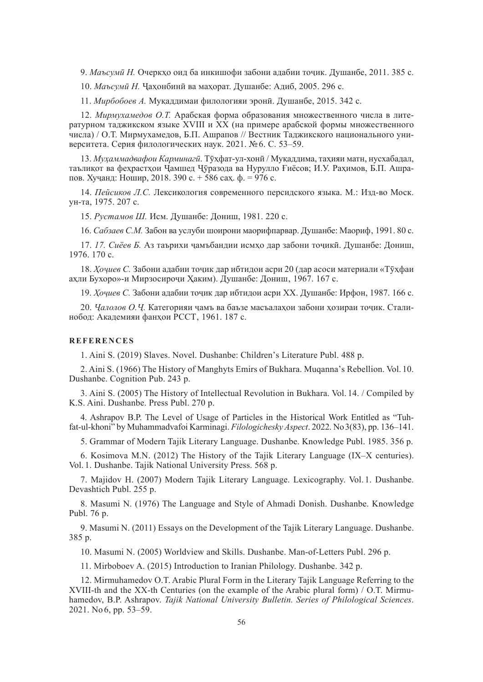9. *Маъсумӣ Н.* Очеркҳо оид ба инкишофи забони адабии тоҷик. Душанбе, 2011. 385 с.

10. *Маъсумӣ Н.* Ҷаҳонбинӣ ва маҳорат. Душанбе: Адиб, 2005. 296 с.

11. *Мирбобоев А.* Муқаддимаи филологияи эронӣ. Душанбе, 2015. 342 с.

12. *Мирмухамедов О.Т.* Арабская форма образования множественного числа в литературном таджикском языке XVIII и XX (на примере арабской формы множественного числа) / О.Т. Мирмухамедов, Б.П. Ашрапов // Вестник Таджикского национального университета. Серия филологических наук. 2021. №6. С. 53–59.

13. *Муҳаммадвафои Карминагӣ*. Тӯҳфат-ул-хонӣ / Муқаддима, таҳияи матн, нусхабадал, таълиқот ва феҳрастҳои Ҷамшед Ҷӯразода ва Нурулло Ғиёсов; И.У. Раҳимов, Б.П. Ашрапов. Хуҷанд: Ношир, 2018. 390 с. + 586 саҳ. ф. = 976 с.

14. *Пейсиков Л.С.* Лексикология современного персидского языка. М.: Изд-во Моск. ун-та, 1975. 207 с.

15. *Рустамов Ш.* Исм. Душанбе: Дониш, 1981. 220 с.

16. *Сабзаев С.М.* Забон ва услуби шоирони маорифпарвар. Душанбе: Маориф, 1991. 80 с.

17. *17. Сиёев Б.* Аз таърихи ҷамъбандии исмҳо дар забони тоҷикӣ. Душанбе: Дониш, 1976. 170 с.

18. *Хочиев С.* Забони адабии точик дар ибтидои асри 20 (дар асоси материали «Тухфаи ахли Бухоро»-и Мирзосирочи Хаким). Душанбе: Дониш, 1967. 167 с.

19. *Хочиев С.* Забони адабии точик дар ибтидои асри XX. Душанбе: Ирфон, 1987. 166 с.

20. *Ҷалолов О.Ҷ.* Категорияи ҷамъ ва баъзе масъалаҳои забони ҳозираи тоҷик. Сталинобод: Академияи фанхои РССТ, 1961. 187 с.

### **REFERENCES**

1. Aini S. (2019) Slaves. Novel. Dushanbe: Children's Literature Publ. 488 p.

2. Aini S. (1966) The History of Manghyts Emirs of Bukhara. Muqanna's Rebellion. Vol. 10. Dushanbe. Cognition Pub. 243 p.

3. Aini S. (2005) The History of Intellectual Revolution in Bukhara. Vol. 14. / Compiled by K.S. Aini. Dushanbe. Press Publ. 270 p.

4. Ashrapov B.P. The Level of Usage of Particles in the Historical Work Entitled as "Tuhfat-ul-khoni" by Muhammadvafoi Karminagi. *Filologichesky Aspect*. 2022. No3(83), pp. 136–141.

5. Grammar of Modern Tajik Literary Language. Dushanbe. Knowledge Publ. 1985. 356 p.

6. Kosimova M.N. (2012) The History of the Tajik Literary Language (IX–X centuries). Vol. 1. Dushanbe. Tajik National University Press. 568 p.

7. Majidov H. (2007) Modern Tajik Literary Language. Lexicography. Vol. 1. Dushanbe. Devashtich Publ. 255 p.

8. Masumi N. (1976) The Language and Style of Ahmadi Donish. Dushanbe. Knowledge Publ. 76 p.

9. Masumi N. (2011) Essays on the Development of the Tajik Literary Language. Dushanbe. 385 p.

10. Masumi N. (2005) Worldview and Skills. Dushanbe. Man-of-Letters Publ. 296 p.

11. Mirboboev A. (2015) Introduction to Iranian Philology. Dushanbe. 342 p.

12. Mirmuhamedov O.T. Arabic Plural Form in the Literary Tajik Language Referring to the XVIII-th and the XX-th Centuries (on the example of the Arabic plural form) / O.T. Mirmuhamedov, B.P. Ashrapov. *Tajik National University Bulletin. Series of Philological Sciences*. 2021. No 6, pp. 53–59.